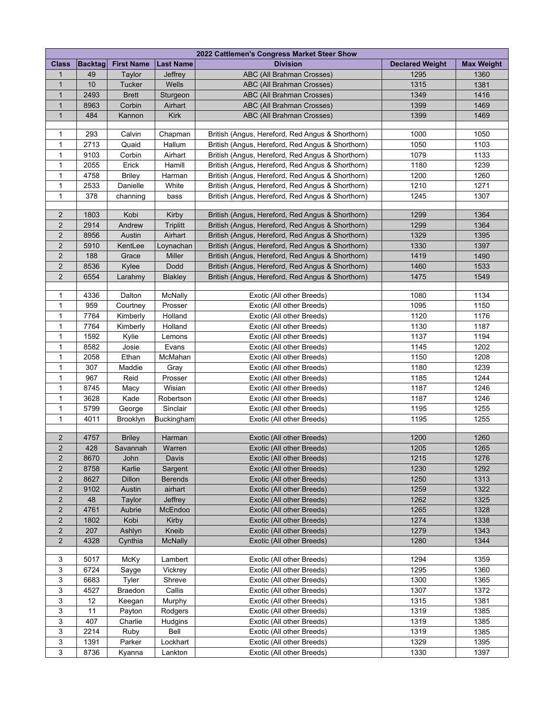| 2022 Cattlemen's Congress Market Steer Show |                |                   |                  |                                                  |                        |                   |  |  |  |  |  |  |
|---------------------------------------------|----------------|-------------------|------------------|--------------------------------------------------|------------------------|-------------------|--|--|--|--|--|--|
| <b>Class</b>                                | <b>Backtag</b> | <b>First Name</b> | <b>Last Name</b> | <b>Division</b>                                  | <b>Declared Weight</b> | <b>Max Weight</b> |  |  |  |  |  |  |
| 1                                           | 49             | Taylor            | Jeffrey          | ABC (All Brahman Crosses)                        | 1295                   | 1360              |  |  |  |  |  |  |
| $\mathbf{1}$                                | 10             | Tucker            | Wells            | ABC (All Brahman Crosses)                        | 1315                   | 1381              |  |  |  |  |  |  |
| $\mathbf{1}$                                | 2493           | <b>Brett</b>      | Sturgeon         | ABC (All Brahman Crosses)                        | 1349                   | 1416              |  |  |  |  |  |  |
| $\mathbf{1}$                                | 8963           | Corbin            | Airhart          | ABC (All Brahman Crosses)                        | 1399                   | 1469              |  |  |  |  |  |  |
| $\mathbf{1}$                                | 484            | Kannon            | <b>Kirk</b>      | ABC (All Brahman Crosses)                        | 1399                   | 1469              |  |  |  |  |  |  |
|                                             |                |                   |                  |                                                  |                        |                   |  |  |  |  |  |  |
| 1                                           | 293            | Calvin            | Chapman          | British (Angus, Hereford, Red Angus & Shorthorn) | 1000                   | 1050              |  |  |  |  |  |  |
| 1                                           | 2713           | Quaid             | Hallum           | British (Angus, Hereford, Red Angus & Shorthorn) | 1050                   | 1103              |  |  |  |  |  |  |
| 1                                           | 9103           | Corbin            | Airhart          | British (Angus, Hereford, Red Angus & Shorthorn) | 1079                   | 1133              |  |  |  |  |  |  |
| 1                                           | 2055           | Erick             | Hamill           | British (Angus, Hereford, Red Angus & Shorthorn) | 1180                   | 1239              |  |  |  |  |  |  |
| 1                                           | 4758           | <b>Briley</b>     | Harman           | British (Angus, Hereford, Red Angus & Shorthorn) | 1200                   | 1260              |  |  |  |  |  |  |
| 1                                           | 2533           | Danielle          | White            | British (Angus, Hereford, Red Angus & Shorthorn) | 1210                   | 1271              |  |  |  |  |  |  |
| $\mathbf 1$                                 | 378            | channing          | bass             | British (Angus, Hereford, Red Angus & Shorthorn) | 1245                   | 1307              |  |  |  |  |  |  |
|                                             |                |                   |                  |                                                  |                        |                   |  |  |  |  |  |  |
| $\overline{2}$                              | 1803           | Kobi              | Kirby            | British (Angus, Hereford, Red Angus & Shorthorn) | 1299                   | 1364              |  |  |  |  |  |  |
| $\overline{2}$                              | 2914           | Andrew            | <b>Triplitt</b>  | British (Angus, Hereford, Red Angus & Shorthorn) | 1299                   | 1364              |  |  |  |  |  |  |
| $\overline{2}$                              | 8956           | Austin            | Airhart          | British (Angus, Hereford, Red Angus & Shorthorn) | 1329                   | 1395              |  |  |  |  |  |  |
| $\overline{2}$                              | 5910           | KentLee           | Loynachan        | British (Angus, Hereford, Red Angus & Shorthorn) | 1330                   | 1397              |  |  |  |  |  |  |
| $\overline{2}$                              | 188            | Grace             | <b>Miller</b>    | British (Angus, Hereford, Red Angus & Shorthorn) | 1419                   | 1490              |  |  |  |  |  |  |
| $\overline{2}$                              | 8536           | Kylee             | Dodd             | British (Angus, Hereford, Red Angus & Shorthorn) | 1460                   | 1533              |  |  |  |  |  |  |
| $\overline{2}$                              | 6554           | Larahmy           | Blakley          | British (Angus, Hereford, Red Angus & Shorthorn) | 1475                   | 1549              |  |  |  |  |  |  |
|                                             |                |                   |                  |                                                  |                        |                   |  |  |  |  |  |  |
| $\mathbf{1}$                                | 4336           | Dalton            | McNally          | Exotic (All other Breeds)                        | 1080                   | 1134              |  |  |  |  |  |  |
| 1                                           | 959            | Courtney          | Prosser          | Exotic (All other Breeds)                        | 1095                   | 1150              |  |  |  |  |  |  |
| 1                                           | 7764           | Kimberly          | Holland          | Exotic (All other Breeds)                        | 1120                   | 1176              |  |  |  |  |  |  |
| 1                                           | 7764           | Kimberly          | Holland          | Exotic (All other Breeds)                        | 1130                   | 1187              |  |  |  |  |  |  |
| $\mathbf 1$                                 | 1592           | Kylie             | Lemons           | Exotic (All other Breeds)                        | 1137                   | 1194              |  |  |  |  |  |  |
| $\mathbf{1}$                                | 8582           | Josie             | Evans            | Exotic (All other Breeds)                        | 1145                   | 1202              |  |  |  |  |  |  |
| $\mathbf{1}$                                | 2058           | Ethan             | McMahan          | Exotic (All other Breeds)                        | 1150                   | 1208              |  |  |  |  |  |  |
| $\mathbf{1}$                                | 307            | Maddie            | Gray             | Exotic (All other Breeds)                        | 1180                   | 1239              |  |  |  |  |  |  |
| $\mathbf 1$                                 | 967            | Reid              | Prosser          | Exotic (All other Breeds)                        | 1185                   | 1244              |  |  |  |  |  |  |
| 1                                           | 8745           | Macy              | Wisian           | Exotic (All other Breeds)                        | 1187                   | 1246              |  |  |  |  |  |  |
| 1                                           | 3628           | Kade              | Robertson        | Exotic (All other Breeds)                        | 1187                   | 1246              |  |  |  |  |  |  |
| 1                                           | 5799           | George            | Sinclair         | Exotic (All other Breeds)                        | 1195                   | 1255              |  |  |  |  |  |  |
| $\mathbf 1$                                 | 4011           | Brooklyn          | Buckingham       | Exotic (All other Breeds)                        | 1195                   | 1255              |  |  |  |  |  |  |
|                                             |                |                   |                  |                                                  |                        |                   |  |  |  |  |  |  |
| $\overline{c}$                              | 4757           | <b>Briley</b>     | Harman           | Exotic (All other Breeds)                        | 1200                   | 1260              |  |  |  |  |  |  |
| $\overline{2}$                              | 428            | Savannah          | Warren           | Exotic (All other Breeds)                        | 1205                   | 1265              |  |  |  |  |  |  |
| 2                                           | 8670           | John              | Davis            | Exotic (All other Breeds)                        | 1215                   | 1276              |  |  |  |  |  |  |
| $\overline{2}$                              | 8758           | Karlie            | Sargent          | Exotic (All other Breeds)                        | 1230                   | 1292              |  |  |  |  |  |  |
| $\overline{2}$                              | 8627           | Dillon            | <b>Berends</b>   | Exotic (All other Breeds)                        | 1250                   | 1313              |  |  |  |  |  |  |
| $\overline{2}$                              | 9102           | Austin            | airhart          | Exotic (All other Breeds)                        | 1259                   | 1322              |  |  |  |  |  |  |
| $\overline{2}$                              | 48             | Taylor            | Jeffrey          | Exotic (All other Breeds)                        | 1262                   | 1325              |  |  |  |  |  |  |
| $\overline{2}$                              | 4761           | Aubrie            | McEndoo          | Exotic (All other Breeds)                        | 1265                   | 1328              |  |  |  |  |  |  |
| $\overline{2}$                              | 1802           | Kobi              | Kirby            | Exotic (All other Breeds)                        | 1274                   | 1338              |  |  |  |  |  |  |
| $\overline{2}$                              | 207            | Ashlyn            | Kneib            | Exotic (All other Breeds)                        | 1279                   | 1343              |  |  |  |  |  |  |
| $\overline{2}$                              | 4328           | Cynthia           | McNally          | Exotic (All other Breeds)                        | 1280                   | 1344              |  |  |  |  |  |  |
|                                             |                |                   |                  |                                                  |                        |                   |  |  |  |  |  |  |
| 3                                           | 5017           | McKy              | Lambert          | Exotic (All other Breeds)                        | 1294                   | 1359              |  |  |  |  |  |  |
| 3                                           | 6724           | Sayge             | Vickrey          | Exotic (All other Breeds)                        | 1295                   | 1360              |  |  |  |  |  |  |
| 3                                           | 6683           | Tyler             | Shreve           | Exotic (All other Breeds)                        | 1300                   | 1365              |  |  |  |  |  |  |
| 3                                           | 4527           | Braedon           | Callis           | Exotic (All other Breeds)                        | 1307                   | 1372              |  |  |  |  |  |  |
| 3                                           | 12             | Keegan            | Murphy           | Exotic (All other Breeds)                        | 1315                   | 1381              |  |  |  |  |  |  |
| 3                                           | 11             | Payton            | Rodgers          | Exotic (All other Breeds)                        | 1319                   | 1385              |  |  |  |  |  |  |
| 3                                           | 407            | Charlie           | Hudgins          | Exotic (All other Breeds)                        | 1319                   | 1385              |  |  |  |  |  |  |
| 3                                           | 2214           | Ruby              | Bell             | Exotic (All other Breeds)                        | 1319                   | 1385              |  |  |  |  |  |  |
| 3                                           | 1391           | Parker            | Lockhart         | Exotic (All other Breeds)                        | 1329                   | 1395              |  |  |  |  |  |  |
| 3                                           | 8736           | Kyanna            | Lankton          | Exotic (All other Breeds)                        | 1330                   | 1397              |  |  |  |  |  |  |